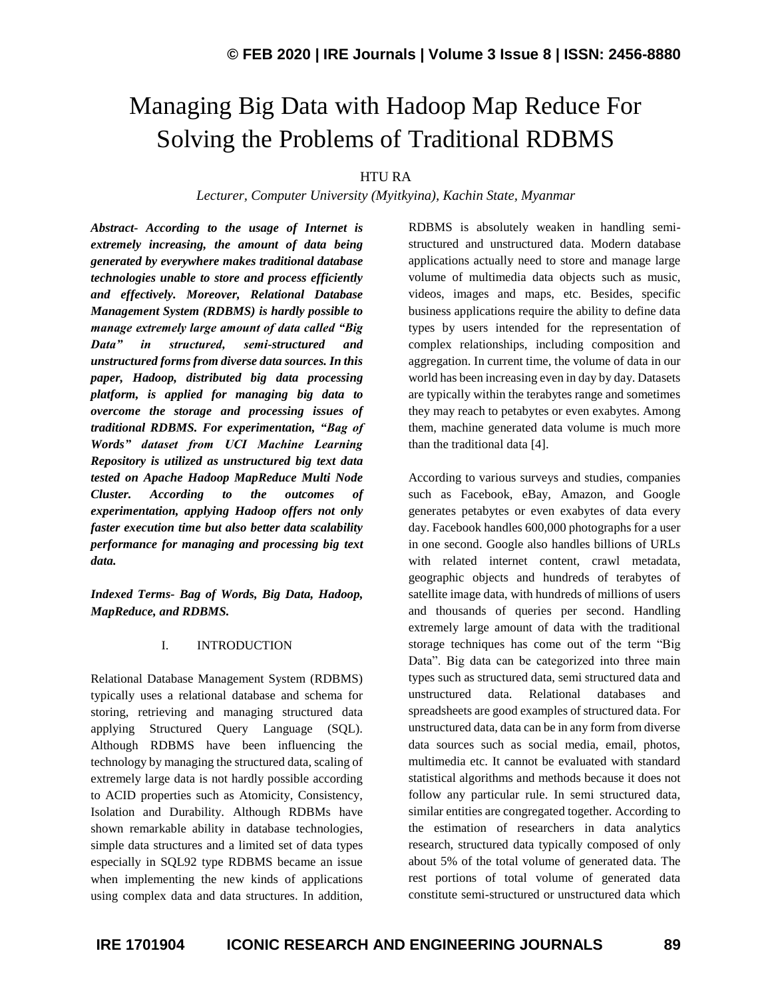# Managing Big Data with Hadoop Map Reduce For Solving the Problems of Traditional RDBMS

HTU RA

*Lecturer, Computer University (Myitkyina), Kachin State, Myanmar*

*Abstract- According to the usage of Internet is extremely increasing, the amount of data being generated by everywhere makes traditional database technologies unable to store and process efficiently and effectively. Moreover, Relational Database Management System (RDBMS) is hardly possible to manage extremely large amount of data called "Big Data" in structured, semi-structured and unstructured forms from diverse data sources. In this paper, Hadoop, distributed big data processing platform, is applied for managing big data to overcome the storage and processing issues of traditional RDBMS. For experimentation, "Bag of Words" dataset from UCI Machine Learning Repository is utilized as unstructured big text data tested on Apache Hadoop MapReduce Multi Node Cluster. According to the outcomes of experimentation, applying Hadoop offers not only faster execution time but also better data scalability performance for managing and processing big text data.*

*Indexed Terms- Bag of Words, Big Data, Hadoop, MapReduce, and RDBMS.*

## I. INTRODUCTION

Relational Database Management System (RDBMS) typically uses a relational database and schema for storing, retrieving and managing structured data applying Structured Query Language (SQL). Although RDBMS have been influencing the technology by managing the structured data, scaling of extremely large data is not hardly possible according to ACID properties such as Atomicity, Consistency, Isolation and Durability. Although RDBMs have shown remarkable ability in database technologies, simple data structures and a limited set of data types especially in SQL92 type RDBMS became an issue when implementing the new kinds of applications using complex data and data structures. In addition,

RDBMS is absolutely weaken in handling semistructured and unstructured data. Modern database applications actually need to store and manage large volume of multimedia data objects such as music, videos, images and maps, etc. Besides, specific business applications require the ability to define data types by users intended for the representation of complex relationships, including composition and aggregation. In current time, the volume of data in our world has been increasing even in day by day. Datasets are typically within the terabytes range and sometimes they may reach to petabytes or even exabytes. Among them, machine generated data volume is much more than the traditional data [4].

According to various surveys and studies, companies such as Facebook, eBay, Amazon, and Google generates petabytes or even exabytes of data every day. Facebook handles 600,000 photographs for a user in one second. Google also handles billions of URLs with related internet content, crawl metadata, geographic objects and hundreds of terabytes of satellite image data, with hundreds of millions of users and thousands of queries per second. Handling extremely large amount of data with the traditional storage techniques has come out of the term "Big Data". Big data can be categorized into three main types such as structured data, semi structured data and unstructured data. Relational databases and spreadsheets are good examples of structured data. For unstructured data, data can be in any form from diverse data sources such as social media, email, photos, multimedia etc. It cannot be evaluated with standard statistical algorithms and methods because it does not follow any particular rule. In semi structured data, similar entities are congregated together. According to the estimation of researchers in data analytics research, structured data typically composed of only about 5% of the total volume of generated data. The rest portions of total volume of generated data constitute semi-structured or unstructured data which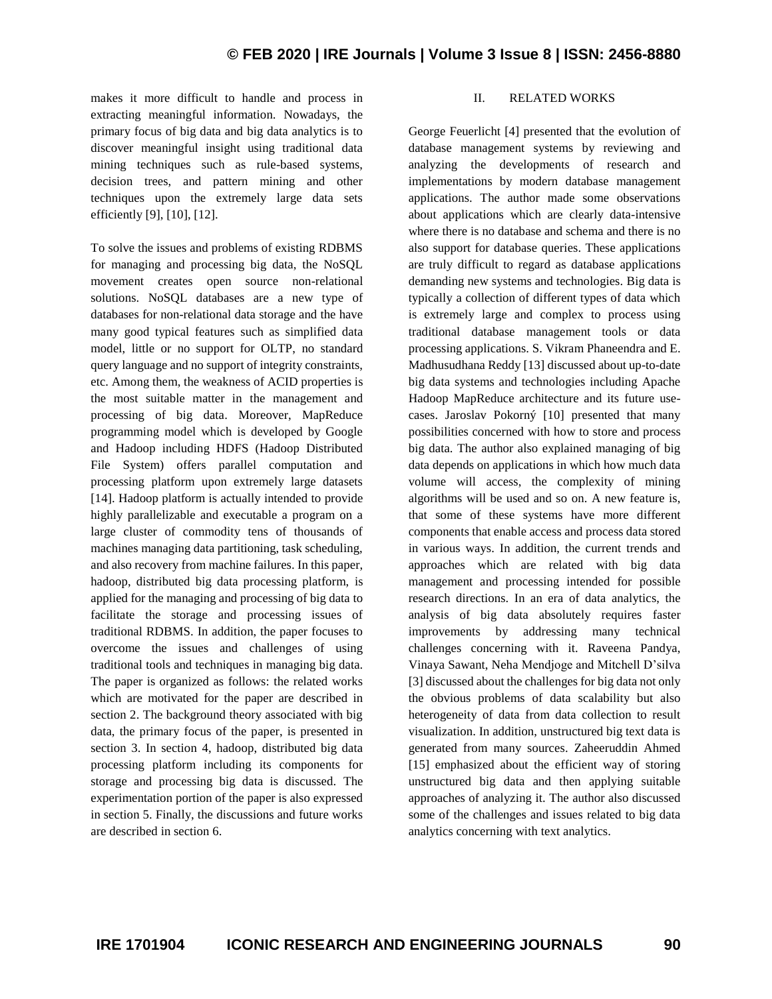makes it more difficult to handle and process in extracting meaningful information. Nowadays, the primary focus of big data and big data analytics is to discover meaningful insight using traditional data mining techniques such as rule-based systems, decision trees, and pattern mining and other techniques upon the extremely large data sets efficiently [9], [10], [12].

To solve the issues and problems of existing RDBMS for managing and processing big data, the NoSQL movement creates open source non-relational solutions. NoSQL databases are a new type of databases for non-relational data storage and the have many good typical features such as simplified data model, little or no support for OLTP, no standard query language and no support of integrity constraints, etc. Among them, the weakness of ACID properties is the most suitable matter in the management and processing of big data. Moreover, MapReduce programming model which is developed by Google and Hadoop including HDFS (Hadoop Distributed File System) offers parallel computation and processing platform upon extremely large datasets [14]. Hadoop platform is actually intended to provide highly parallelizable and executable a program on a large cluster of commodity tens of thousands of machines managing data partitioning, task scheduling, and also recovery from machine failures. In this paper, hadoop, distributed big data processing platform, is applied for the managing and processing of big data to facilitate the storage and processing issues of traditional RDBMS. In addition, the paper focuses to overcome the issues and challenges of using traditional tools and techniques in managing big data. The paper is organized as follows: the related works which are motivated for the paper are described in section 2. The background theory associated with big data, the primary focus of the paper, is presented in section 3. In section 4, hadoop, distributed big data processing platform including its components for storage and processing big data is discussed. The experimentation portion of the paper is also expressed in section 5. Finally, the discussions and future works are described in section 6.

#### II. RELATED WORKS

George Feuerlicht [4] presented that the evolution of database management systems by reviewing and analyzing the developments of research and implementations by modern database management applications. The author made some observations about applications which are clearly data-intensive where there is no database and schema and there is no also support for database queries. These applications are truly difficult to regard as database applications demanding new systems and technologies. Big data is typically a collection of different types of data which is extremely large and complex to process using traditional database management tools or data processing applications. S. Vikram Phaneendra and E. Madhusudhana Reddy [13] discussed about up-to-date big data systems and technologies including Apache Hadoop MapReduce architecture and its future usecases. Jaroslav Pokorný [10] presented that many possibilities concerned with how to store and process big data. The author also explained managing of big data depends on applications in which how much data volume will access, the complexity of mining algorithms will be used and so on. A new feature is, that some of these systems have more different components that enable access and process data stored in various ways. In addition, the current trends and approaches which are related with big data management and processing intended for possible research directions. In an era of data analytics, the analysis of big data absolutely requires faster improvements by addressing many technical challenges concerning with it. Raveena Pandya, Vinaya Sawant, Neha Mendjoge and Mitchell D'silva [3] discussed about the challenges for big data not only the obvious problems of data scalability but also heterogeneity of data from data collection to result visualization. In addition, unstructured big text data is generated from many sources. Zaheeruddin Ahmed [15] emphasized about the efficient way of storing unstructured big data and then applying suitable approaches of analyzing it. The author also discussed some of the challenges and issues related to big data analytics concerning with text analytics.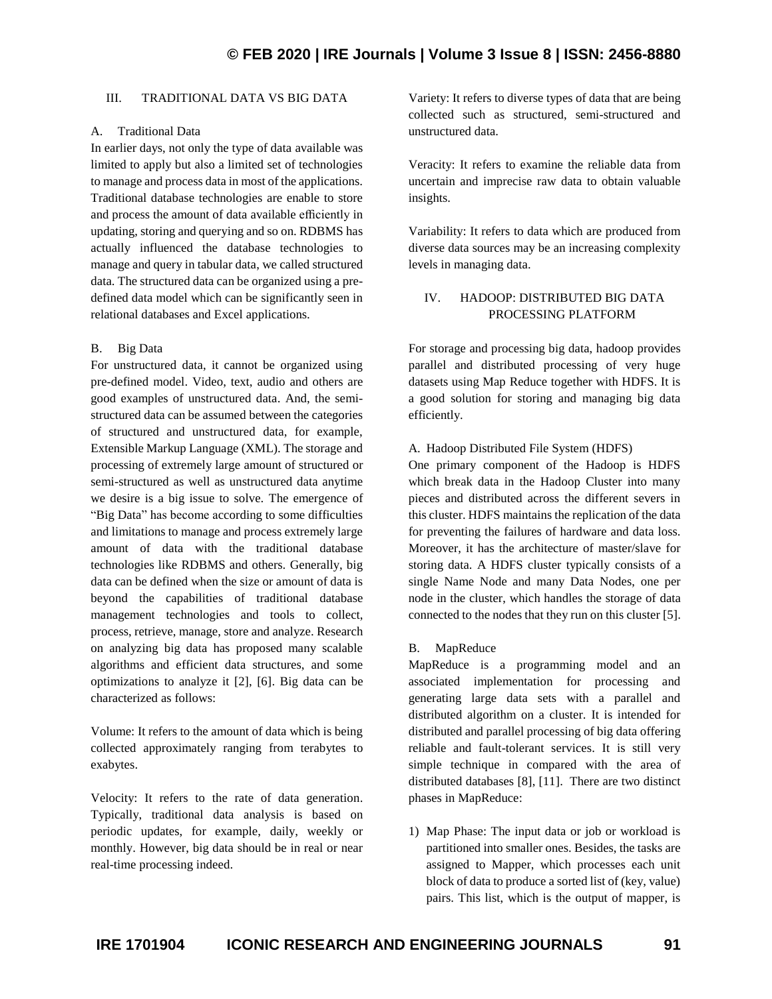# III. TRADITIONAL DATA VS BIG DATA

## A. Traditional Data

In earlier days, not only the type of data available was limited to apply but also a limited set of technologies to manage and process data in most of the applications. Traditional database technologies are enable to store and process the amount of data available efficiently in updating, storing and querying and so on. RDBMS has actually influenced the database technologies to manage and query in tabular data, we called structured data. The structured data can be organized using a predefined data model which can be significantly seen in relational databases and Excel applications.

# B. Big Data

For unstructured data, it cannot be organized using pre-defined model. Video, text, audio and others are good examples of unstructured data. And, the semistructured data can be assumed between the categories of structured and unstructured data, for example, Extensible Markup Language (XML). The storage and processing of extremely large amount of structured or semi-structured as well as unstructured data anytime we desire is a big issue to solve. The emergence of "Big Data" has become according to some difficulties and limitations to manage and process extremely large amount of data with the traditional database technologies like RDBMS and others. Generally, big data can be defined when the size or amount of data is beyond the capabilities of traditional database management technologies and tools to collect, process, retrieve, manage, store and analyze. Research on analyzing big data has proposed many scalable algorithms and efficient data structures, and some optimizations to analyze it [2], [6]. Big data can be characterized as follows:

Volume: It refers to the amount of data which is being collected approximately ranging from terabytes to exabytes.

Velocity: It refers to the rate of data generation. Typically, traditional data analysis is based on periodic updates, for example, daily, weekly or monthly. However, big data should be in real or near real-time processing indeed.

Variety: It refers to diverse types of data that are being collected such as structured, semi-structured and unstructured data.

Veracity: It refers to examine the reliable data from uncertain and imprecise raw data to obtain valuable insights.

Variability: It refers to data which are produced from diverse data sources may be an increasing complexity levels in managing data.

# IV. HADOOP: DISTRIBUTED BIG DATA PROCESSING PLATFORM

For storage and processing big data, hadoop provides parallel and distributed processing of very huge datasets using Map Reduce together with HDFS. It is a good solution for storing and managing big data efficiently.

# A. Hadoop Distributed File System (HDFS)

One primary component of the Hadoop is HDFS which break data in the Hadoop Cluster into many pieces and distributed across the different severs in this cluster. HDFS maintains the replication of the data for preventing the failures of hardware and data loss. Moreover, it has the architecture of master/slave for storing data. A HDFS cluster typically consists of a single Name Node and many Data Nodes, one per node in the cluster, which handles the storage of data connected to the nodes that they run on this cluster [5].

# B. MapReduce

MapReduce is a programming model and an associated implementation for processing and generating large data sets with a parallel and distributed algorithm on a cluster. It is intended for distributed and parallel processing of big data offering reliable and fault-tolerant services. It is still very simple technique in compared with the area of distributed databases [8], [11]. There are two distinct phases in MapReduce:

1) Map Phase: The input data or job or workload is partitioned into smaller ones. Besides, the tasks are assigned to Mapper, which processes each unit block of data to produce a sorted list of (key, value) pairs. This list, which is the output of mapper, is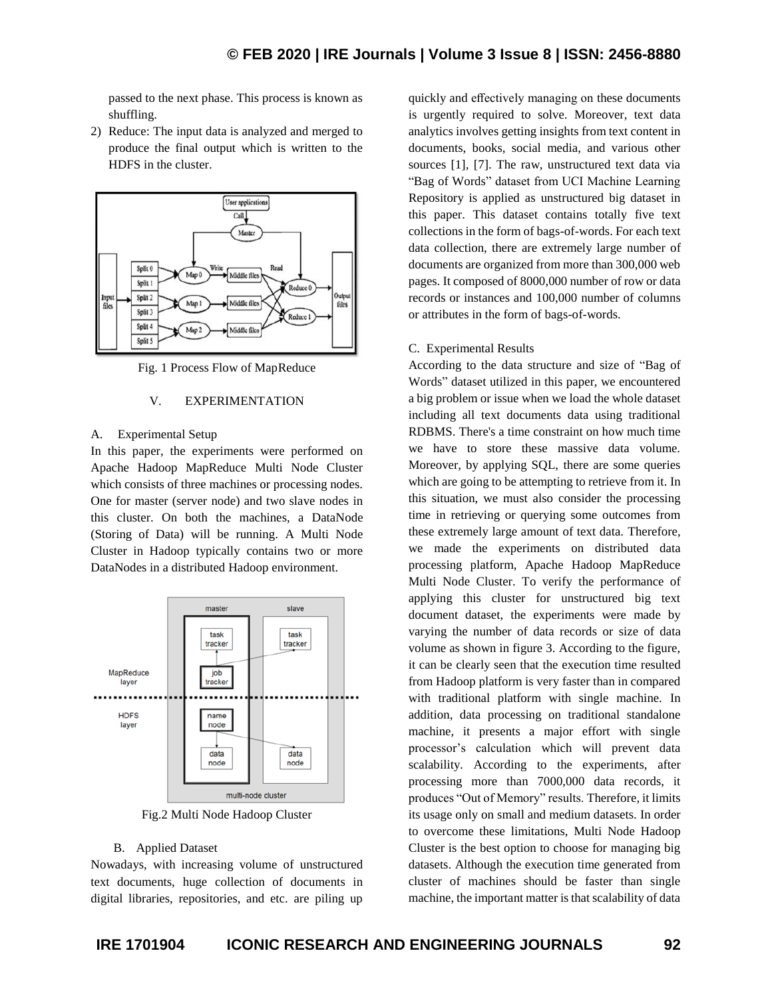passed to the next phase. This process is known as shuffling.

2) Reduce: The input data is analyzed and merged to produce the final output which is written to the HDFS in the cluster.



Fig. 1 Process Flow of MapReduce

#### V. EXPERIMENTATION

#### A. Experimental Setup

In this paper, the experiments were performed on Apache Hadoop MapReduce Multi Node Cluster which consists of three machines or processing nodes. One for master (server node) and two slave nodes in this cluster. On both the machines, a DataNode (Storing of Data) will be running. A Multi Node Cluster in Hadoop typically contains two or more DataNodes in a distributed Hadoop environment.



Fig.2 Multi Node Hadoop Cluster

#### B. Applied Dataset

Nowadays, with increasing volume of unstructured text documents, huge collection of documents in digital libraries, repositories, and etc. are piling up

quickly and effectively managing on these documents is urgently required to solve. Moreover, text data analytics involves getting insights from text content in documents, books, social media, and various other sources [1], [7]. The raw, unstructured text data via "Bag of Words" dataset from UCI Machine Learning Repository is applied as unstructured big dataset in this paper. This dataset contains totally five text collections in the form of bags-of-words. For each text data collection, there are extremely large number of documents are organized from more than 300,000 web pages. It composed of 8000,000 number of row or data records or instances and 100,000 number of columns or attributes in the form of bags-of-words.

#### C. Experimental Results

According to the data structure and size of "Bag of Words" dataset utilized in this paper, we encountered a big problem or issue when we load the whole dataset including all text documents data using traditional RDBMS. There's a time constraint on how much time we have to store these massive data volume. Moreover, by applying SQL, there are some queries which are going to be attempting to retrieve from it. In this situation, we must also consider the processing time in retrieving or querying some outcomes from these extremely large amount of text data. Therefore, we made the experiments on distributed data processing platform, Apache Hadoop MapReduce Multi Node Cluster. To verify the performance of applying this cluster for unstructured big text document dataset, the experiments were made by varying the number of data records or size of data volume as shown in figure 3. According to the figure, it can be clearly seen that the execution time resulted from Hadoop platform is very faster than in compared with traditional platform with single machine. In addition, data processing on traditional standalone machine, it presents a major effort with single processor's calculation which will prevent data scalability. According to the experiments, after processing more than 7000,000 data records, it produces "Out of Memory" results. Therefore, it limits its usage only on small and medium datasets. In order to overcome these limitations, Multi Node Hadoop Cluster is the best option to choose for managing big datasets. Although the execution time generated from cluster of machines should be faster than single machine, the important matter is that scalability of data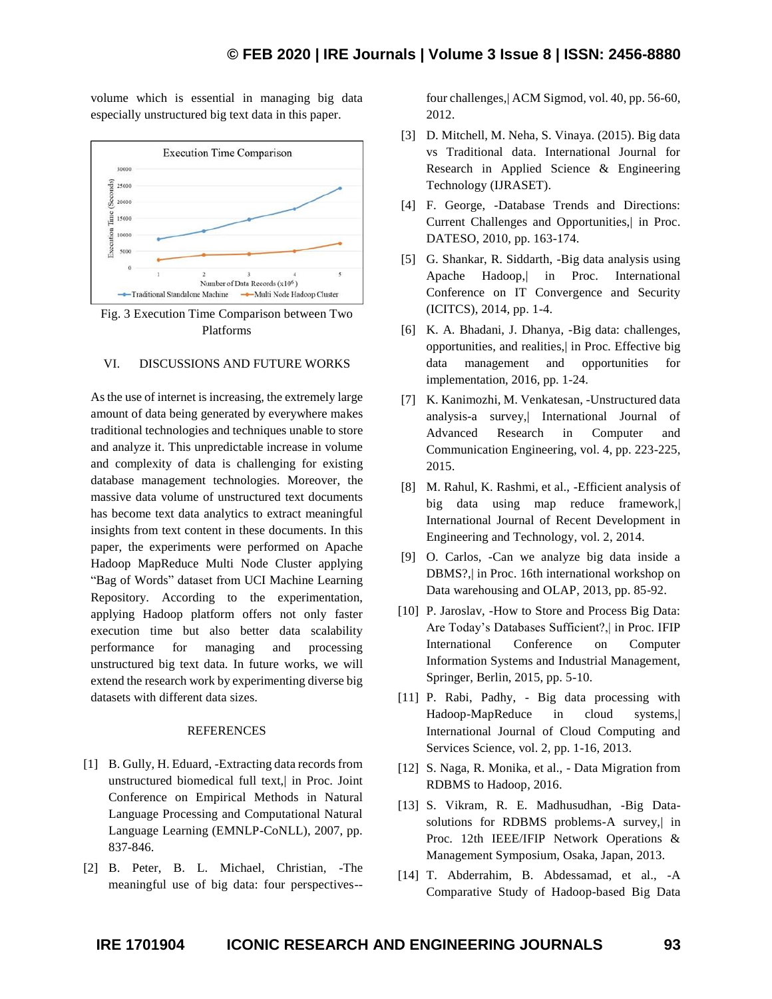volume which is essential in managing big data especially unstructured big text data in this paper.



Fig. 3 Execution Time Comparison between Two Platforms

## VI. DISCUSSIONS AND FUTURE WORKS

As the use of internet is increasing, the extremely large amount of data being generated by everywhere makes traditional technologies and techniques unable to store and analyze it. This unpredictable increase in volume and complexity of data is challenging for existing database management technologies. Moreover, the massive data volume of unstructured text documents has become text data analytics to extract meaningful insights from text content in these documents. In this paper, the experiments were performed on Apache Hadoop MapReduce Multi Node Cluster applying "Bag of Words" dataset from UCI Machine Learning Repository. According to the experimentation, applying Hadoop platform offers not only faster execution time but also better data scalability performance for managing and processing unstructured big text data. In future works, we will extend the research work by experimenting diverse big datasets with different data sizes.

### REFERENCES

- [1] B. Gully, H. Eduard, -Extracting data records from unstructured biomedical full text,| in Proc. Joint Conference on Empirical Methods in Natural Language Processing and Computational Natural Language Learning (EMNLP-CoNLL), 2007, pp. 837-846.
- [2] B. Peter, B. L. Michael, Christian, -The meaningful use of big data: four perspectives--

four challenges,| ACM Sigmod, vol. 40, pp. 56-60, 2012.

- [3] D. Mitchell, M. Neha, S. Vinaya. (2015). Big data vs Traditional data. International Journal for Research in Applied Science & Engineering Technology (IJRASET).
- [4] F. George, -Database Trends and Directions: Current Challenges and Opportunities,| in Proc. DATESO, 2010, pp. 163-174.
- [5] G. Shankar, R. Siddarth, -Big data analysis using Apache Hadoop,| in Proc. International Conference on IT Convergence and Security (ICITCS), 2014, pp. 1-4.
- [6] K. A. Bhadani, J. Dhanya, -Big data: challenges, opportunities, and realities,| in Proc. Effective big data management and opportunities implementation, 2016, pp. 1-24.
- [7] K. Kanimozhi, M. Venkatesan, -Unstructured data analysis-a survey,| International Journal of Advanced Research in Computer and Communication Engineering, vol. 4, pp. 223-225, 2015.
- [8] M. Rahul, K. Rashmi, et al., -Efficient analysis of big data using map reduce framework,| International Journal of Recent Development in Engineering and Technology, vol. 2, 2014.
- [9] O. Carlos, -Can we analyze big data inside a DBMS?,| in Proc. 16th international workshop on Data warehousing and OLAP, 2013, pp. 85-92.
- [10] P. Jaroslav, -How to Store and Process Big Data: Are Today's Databases Sufficient?,| in Proc. IFIP International Conference on Computer Information Systems and Industrial Management, Springer, Berlin, 2015, pp. 5-10.
- [11] P. Rabi, Padhy, Big data processing with Hadoop-MapReduce in cloud systems,| International Journal of Cloud Computing and Services Science, vol. 2, pp. 1-16, 2013.
- [12] S. Naga, R. Monika, et al., Data Migration from RDBMS to Hadoop, 2016.
- [13] S. Vikram, R. E. Madhusudhan, -Big Datasolutions for RDBMS problems-A survey, in Proc. 12th IEEE/IFIP Network Operations & Management Symposium, Osaka, Japan, 2013.
- [14] T. Abderrahim, B. Abdessamad, et al., -A Comparative Study of Hadoop-based Big Data